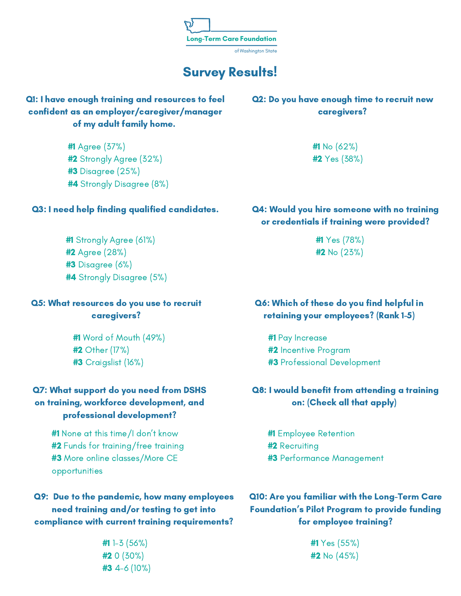

# Survey Results!

## Q1: I have enough training and resources to feel confident as an employer/caregiver/manager of my adult family home.

#1 Agree (37%) #2 Strongly Agree (32%) #3 Disagree (25%) #4 Strongly Disagree (8%)

#### Q3: I need help finding qualified candidates.

#1 Strongly Agree (61%) #2 Agree (28%) #3 Disagree (6%) #4 Strongly Disagree (5%)

#### Q5: What resources do you use to recruit caregivers?

#1 Word of Mouth (49%) #2 Other (17%) #3 Craigslist (16%)

## Q7: What support do you need from DSHS on training, workforce development, and professional development?

#1 None at this time/I don't know #2 Funds for training/free training #3 More online classes/More CE opportunities

## Q9: Due to the pandemic, how many employees need training and/or testing to get into compliance with current training requirements?

#1 1-3 (56%) #2 0 (30%) #3 4-6 (10%)

#### Q2: Do you have enough time to recruit new caregivers?

#1 No (62%) #2 Yes (38%)

## Q4: Would you hire someone with no training or credentials if training were provided?

#1 Yes (78%) #2 No (23%)

### Q6: Which of these do you find helpful in retaining your employees? (Rank 1-5)

#1 Pay Increase #2 Incentive Program #3 Professional Development

### Q8: I would benefit from attending a training on: (Check all that apply)

#1 Employee Retention #2 Recruiting #3 Performance Management

Q10: Are you familiar with the Long-Term Care Foundation's Pilot Program to provide funding for employee training?

> #1 Yes (55%) #2 No (45%)